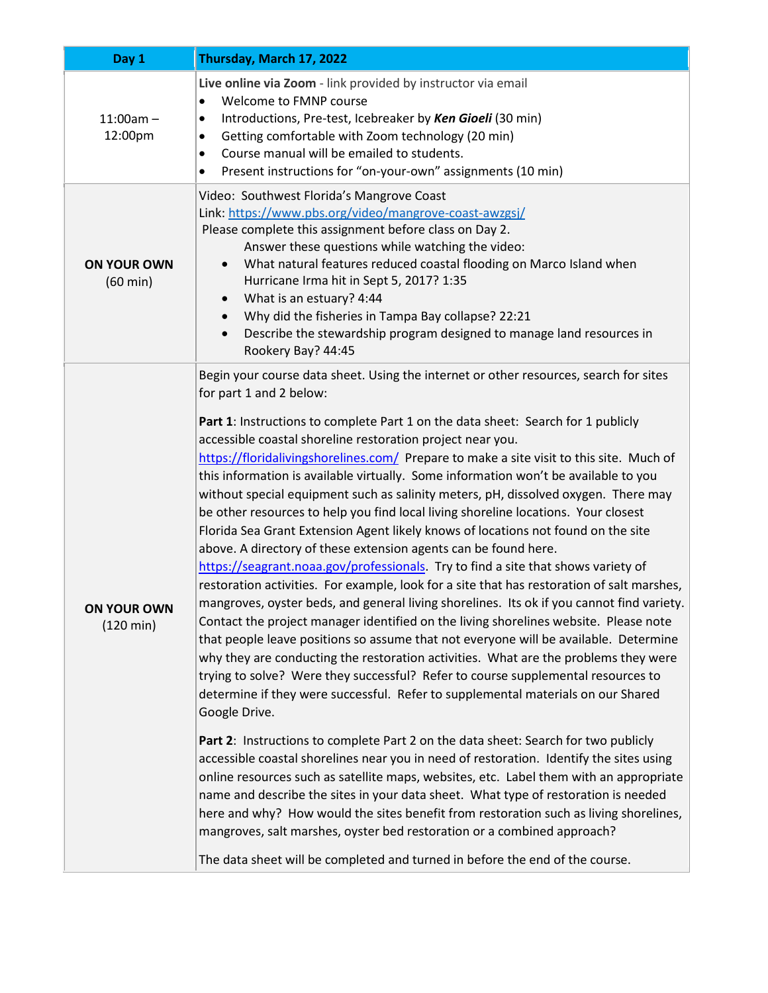| Day 1                                    | Thursday, March 17, 2022                                                                                                                                                                                                                                                                                                                                                                                                                                                                                                                                                                                                                                                                                                                                                                                                                                                                                                                                                                                                                                                                                                                                                                                                                                                                                                                                                                                                                                                                                                                                                                                                                                                                                                                                                                                                                                                                                                                                                                                                                                                                                                                                      |
|------------------------------------------|---------------------------------------------------------------------------------------------------------------------------------------------------------------------------------------------------------------------------------------------------------------------------------------------------------------------------------------------------------------------------------------------------------------------------------------------------------------------------------------------------------------------------------------------------------------------------------------------------------------------------------------------------------------------------------------------------------------------------------------------------------------------------------------------------------------------------------------------------------------------------------------------------------------------------------------------------------------------------------------------------------------------------------------------------------------------------------------------------------------------------------------------------------------------------------------------------------------------------------------------------------------------------------------------------------------------------------------------------------------------------------------------------------------------------------------------------------------------------------------------------------------------------------------------------------------------------------------------------------------------------------------------------------------------------------------------------------------------------------------------------------------------------------------------------------------------------------------------------------------------------------------------------------------------------------------------------------------------------------------------------------------------------------------------------------------------------------------------------------------------------------------------------------------|
| $11:00am -$<br>12:00pm                   | Live online via Zoom - link provided by instructor via email<br>Welcome to FMNP course<br>$\bullet$<br>Introductions, Pre-test, Icebreaker by Ken Gioeli (30 min)<br>Getting comfortable with Zoom technology (20 min)<br>Course manual will be emailed to students.<br>$\bullet$<br>Present instructions for "on-your-own" assignments (10 min)<br>$\bullet$                                                                                                                                                                                                                                                                                                                                                                                                                                                                                                                                                                                                                                                                                                                                                                                                                                                                                                                                                                                                                                                                                                                                                                                                                                                                                                                                                                                                                                                                                                                                                                                                                                                                                                                                                                                                 |
| <b>ON YOUR OWN</b><br>$(60 \text{ min})$ | Video: Southwest Florida's Mangrove Coast<br>Link: https://www.pbs.org/video/mangrove-coast-awzgsj/<br>Please complete this assignment before class on Day 2.<br>Answer these questions while watching the video:<br>What natural features reduced coastal flooding on Marco Island when<br>$\bullet$<br>Hurricane Irma hit in Sept 5, 2017? 1:35<br>What is an estuary? 4:44<br>Why did the fisheries in Tampa Bay collapse? 22:21<br>Describe the stewardship program designed to manage land resources in<br>Rookery Bay? 44:45                                                                                                                                                                                                                                                                                                                                                                                                                                                                                                                                                                                                                                                                                                                                                                                                                                                                                                                                                                                                                                                                                                                                                                                                                                                                                                                                                                                                                                                                                                                                                                                                                            |
| ON YOUR OWN<br>$(120 \text{ min})$       | Begin your course data sheet. Using the internet or other resources, search for sites<br>for part 1 and 2 below:<br>Part 1: Instructions to complete Part 1 on the data sheet: Search for 1 publicly<br>accessible coastal shoreline restoration project near you.<br>https://floridalivingshorelines.com/ Prepare to make a site visit to this site. Much of<br>this information is available virtually. Some information won't be available to you<br>without special equipment such as salinity meters, pH, dissolved oxygen. There may<br>be other resources to help you find local living shoreline locations. Your closest<br>Florida Sea Grant Extension Agent likely knows of locations not found on the site<br>above. A directory of these extension agents can be found here.<br>https://seagrant.noaa.gov/professionals. Try to find a site that shows variety of<br>restoration activities. For example, look for a site that has restoration of salt marshes,<br>mangroves, oyster beds, and general living shorelines. Its ok if you cannot find variety.<br>Contact the project manager identified on the living shorelines website. Please note<br>that people leave positions so assume that not everyone will be available. Determine<br>why they are conducting the restoration activities. What are the problems they were<br>trying to solve? Were they successful? Refer to course supplemental resources to<br>determine if they were successful. Refer to supplemental materials on our Shared<br>Google Drive.<br>Part 2: Instructions to complete Part 2 on the data sheet: Search for two publicly<br>accessible coastal shorelines near you in need of restoration. Identify the sites using<br>online resources such as satellite maps, websites, etc. Label them with an appropriate<br>name and describe the sites in your data sheet. What type of restoration is needed<br>here and why? How would the sites benefit from restoration such as living shorelines,<br>mangroves, salt marshes, oyster bed restoration or a combined approach?<br>The data sheet will be completed and turned in before the end of the course. |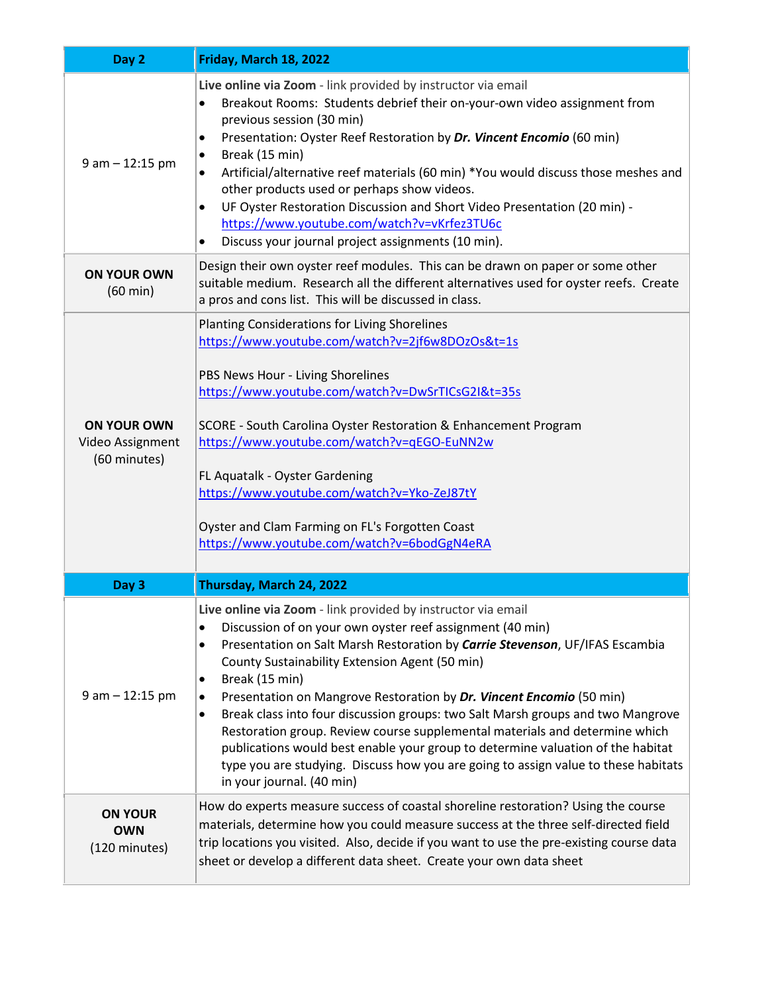| Day 2                                                  | Friday, March 18, 2022                                                                                                                                                                                                                                                                                                                                                                                                                                                                                                                                                                                                                                                                                                                                         |
|--------------------------------------------------------|----------------------------------------------------------------------------------------------------------------------------------------------------------------------------------------------------------------------------------------------------------------------------------------------------------------------------------------------------------------------------------------------------------------------------------------------------------------------------------------------------------------------------------------------------------------------------------------------------------------------------------------------------------------------------------------------------------------------------------------------------------------|
| $9$ am $-$ 12:15 pm                                    | Live online via Zoom - link provided by instructor via email<br>Breakout Rooms: Students debrief their on-your-own video assignment from<br>$\bullet$<br>previous session (30 min)<br>Presentation: Oyster Reef Restoration by Dr. Vincent Encomio (60 min)<br>٠<br>Break (15 min)<br>٠<br>Artificial/alternative reef materials (60 min) *You would discuss those meshes and<br>other products used or perhaps show videos.<br>UF Oyster Restoration Discussion and Short Video Presentation (20 min) -<br>$\bullet$<br>https://www.youtube.com/watch?v=vKrfez3TU6c<br>Discuss your journal project assignments (10 min).<br>٠                                                                                                                                |
| <b>ON YOUR OWN</b><br>$(60 \text{ min})$               | Design their own oyster reef modules. This can be drawn on paper or some other<br>suitable medium. Research all the different alternatives used for oyster reefs. Create<br>a pros and cons list. This will be discussed in class.                                                                                                                                                                                                                                                                                                                                                                                                                                                                                                                             |
| <b>ON YOUR OWN</b><br>Video Assignment<br>(60 minutes) | Planting Considerations for Living Shorelines<br>https://www.youtube.com/watch?v=2jf6w8DOzOs&t=1s<br>PBS News Hour - Living Shorelines<br>https://www.youtube.com/watch?v=DwSrTICsG2I&t=35s<br>SCORE - South Carolina Oyster Restoration & Enhancement Program<br>https://www.youtube.com/watch?v=qEGO-EuNN2w<br>FL Aquatalk - Oyster Gardening<br>https://www.youtube.com/watch?v=Yko-ZeJ87tY<br>Oyster and Clam Farming on FL's Forgotten Coast<br>https://www.youtube.com/watch?v=6bodGgN4eRA                                                                                                                                                                                                                                                               |
| Day 3                                                  | Thursday, March 24, 2022                                                                                                                                                                                                                                                                                                                                                                                                                                                                                                                                                                                                                                                                                                                                       |
| $9$ am $-$ 12:15 pm                                    | Live online via Zoom - link provided by instructor via email<br>Discussion of on your own oyster reef assignment (40 min)<br>٠<br>Presentation on Salt Marsh Restoration by Carrie Stevenson, UF/IFAS Escambia<br>٠<br>County Sustainability Extension Agent (50 min)<br>Break (15 min)<br>٠<br>Presentation on Mangrove Restoration by Dr. Vincent Encomio (50 min)<br>$\bullet$<br>Break class into four discussion groups: two Salt Marsh groups and two Mangrove<br>٠<br>Restoration group. Review course supplemental materials and determine which<br>publications would best enable your group to determine valuation of the habitat<br>type you are studying. Discuss how you are going to assign value to these habitats<br>in your journal. (40 min) |
| <b>ON YOUR</b><br><b>OWN</b><br>(120 minutes)          | How do experts measure success of coastal shoreline restoration? Using the course<br>materials, determine how you could measure success at the three self-directed field<br>trip locations you visited. Also, decide if you want to use the pre-existing course data<br>sheet or develop a different data sheet. Create your own data sheet                                                                                                                                                                                                                                                                                                                                                                                                                    |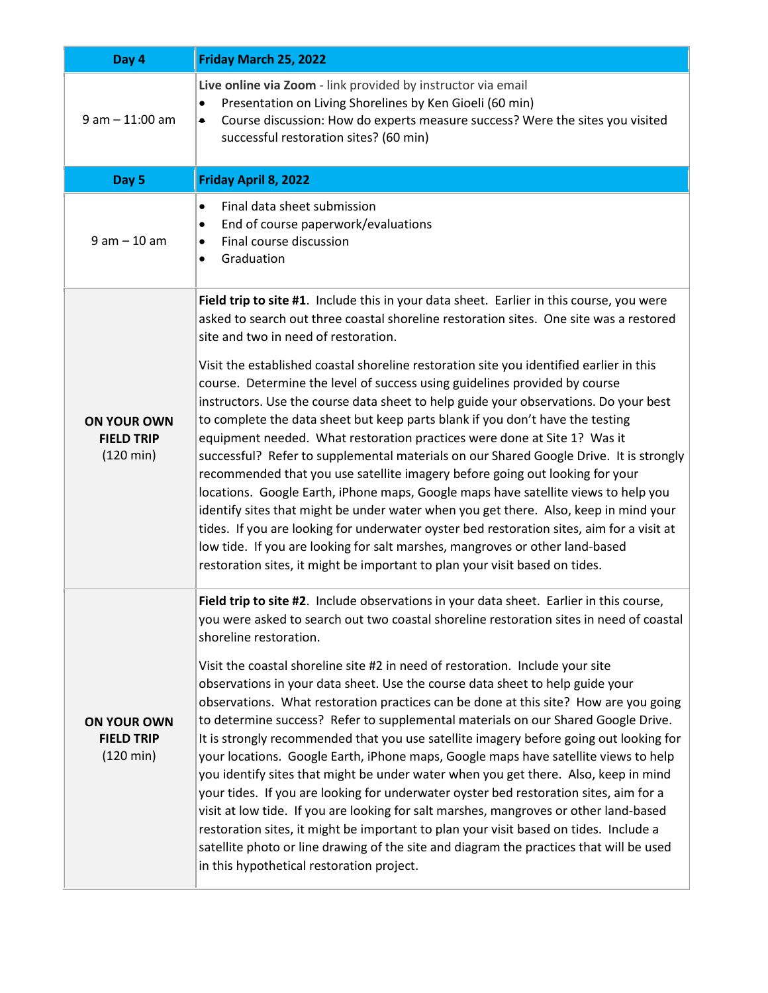| Day 4                                                          | Friday March 25, 2022                                                                                                                                                                                                                                                                                                                                                                                                                                                                                                                                                                                                                                                                                                                                                                                                                                                                                                                                                                                                                                                                                                                                                                                                                                  |
|----------------------------------------------------------------|--------------------------------------------------------------------------------------------------------------------------------------------------------------------------------------------------------------------------------------------------------------------------------------------------------------------------------------------------------------------------------------------------------------------------------------------------------------------------------------------------------------------------------------------------------------------------------------------------------------------------------------------------------------------------------------------------------------------------------------------------------------------------------------------------------------------------------------------------------------------------------------------------------------------------------------------------------------------------------------------------------------------------------------------------------------------------------------------------------------------------------------------------------------------------------------------------------------------------------------------------------|
| $9$ am $-$ 11:00 am                                            | Live online via Zoom - link provided by instructor via email<br>Presentation on Living Shorelines by Ken Gioeli (60 min)<br>Course discussion: How do experts measure success? Were the sites you visited<br>$\bullet$<br>successful restoration sites? (60 min)                                                                                                                                                                                                                                                                                                                                                                                                                                                                                                                                                                                                                                                                                                                                                                                                                                                                                                                                                                                       |
| Day 5                                                          | Friday April 8, 2022                                                                                                                                                                                                                                                                                                                                                                                                                                                                                                                                                                                                                                                                                                                                                                                                                                                                                                                                                                                                                                                                                                                                                                                                                                   |
| $9 am - 10 am$                                                 | Final data sheet submission<br>$\bullet$<br>End of course paperwork/evaluations<br>$\bullet$<br>Final course discussion<br>$\bullet$<br>Graduation<br>$\bullet$                                                                                                                                                                                                                                                                                                                                                                                                                                                                                                                                                                                                                                                                                                                                                                                                                                                                                                                                                                                                                                                                                        |
|                                                                | Field trip to site #1. Include this in your data sheet. Earlier in this course, you were<br>asked to search out three coastal shoreline restoration sites. One site was a restored<br>site and two in need of restoration.                                                                                                                                                                                                                                                                                                                                                                                                                                                                                                                                                                                                                                                                                                                                                                                                                                                                                                                                                                                                                             |
| <b>ON YOUR OWN</b><br><b>FIELD TRIP</b><br>$(120 \text{ min})$ | Visit the established coastal shoreline restoration site you identified earlier in this<br>course. Determine the level of success using guidelines provided by course<br>instructors. Use the course data sheet to help guide your observations. Do your best<br>to complete the data sheet but keep parts blank if you don't have the testing<br>equipment needed. What restoration practices were done at Site 1? Was it<br>successful? Refer to supplemental materials on our Shared Google Drive. It is strongly<br>recommended that you use satellite imagery before going out looking for your<br>locations. Google Earth, iPhone maps, Google maps have satellite views to help you<br>identify sites that might be under water when you get there. Also, keep in mind your<br>tides. If you are looking for underwater oyster bed restoration sites, aim for a visit at<br>low tide. If you are looking for salt marshes, mangroves or other land-based<br>restoration sites, it might be important to plan your visit based on tides.                                                                                                                                                                                                         |
| <b>ON YOUR OWN</b><br><b>FIELD TRIP</b><br>$(120 \text{ min})$ | Field trip to site #2. Include observations in your data sheet. Earlier in this course,<br>you were asked to search out two coastal shoreline restoration sites in need of coastal<br>shoreline restoration.<br>Visit the coastal shoreline site #2 in need of restoration. Include your site<br>observations in your data sheet. Use the course data sheet to help guide your<br>observations. What restoration practices can be done at this site? How are you going<br>to determine success? Refer to supplemental materials on our Shared Google Drive.<br>It is strongly recommended that you use satellite imagery before going out looking for<br>your locations. Google Earth, iPhone maps, Google maps have satellite views to help<br>you identify sites that might be under water when you get there. Also, keep in mind<br>your tides. If you are looking for underwater oyster bed restoration sites, aim for a<br>visit at low tide. If you are looking for salt marshes, mangroves or other land-based<br>restoration sites, it might be important to plan your visit based on tides. Include a<br>satellite photo or line drawing of the site and diagram the practices that will be used<br>in this hypothetical restoration project. |